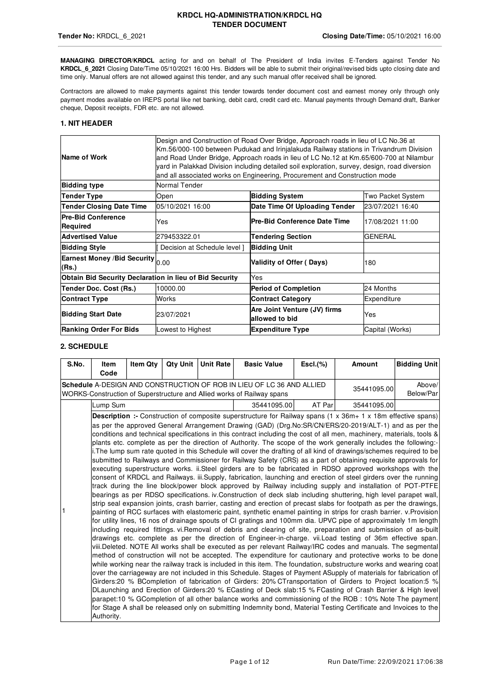**MANAGING DIRECTOR/KRDCL** acting for and on behalf of The President of India invites E-Tenders against Tender No **KRDCL\_6\_2021** Closing Date/Time 05/10/2021 16:00 Hrs. Bidders will be able to submit their original/revised bids upto closing date and time only. Manual offers are not allowed against this tender, and any such manual offer received shall be ignored.

Contractors are allowed to make payments against this tender towards tender document cost and earnest money only through only payment modes available on IREPS portal like net banking, debit card, credit card etc. Manual payments through Demand draft, Banker cheque, Deposit receipts, FDR etc. are not allowed.

### **1. NIT HEADER**

| Name of Work                                            |                                                         | Design and Construction of Road Over Bridge, Approach roads in lieu of LC No.36 at<br>Km.56/000-100 between Pudukad and Irinjalakuda Railway stations in Trivandrum Division<br>and Road Under Bridge, Approach roads in lieu of LC No.12 at Km.65/600-700 at Nilambur<br>yard in Palakkad Division including detailed soil exploration, survey, design, road diversion<br>and all associated works on Engineering, Procurement and Construction mode |                  |  |  |  |  |  |  |  |  |  |
|---------------------------------------------------------|---------------------------------------------------------|-------------------------------------------------------------------------------------------------------------------------------------------------------------------------------------------------------------------------------------------------------------------------------------------------------------------------------------------------------------------------------------------------------------------------------------------------------|------------------|--|--|--|--|--|--|--|--|--|
| <b>Bidding type</b>                                     | Normal Tender                                           |                                                                                                                                                                                                                                                                                                                                                                                                                                                       |                  |  |  |  |  |  |  |  |  |  |
| <b>Tender Type</b>                                      | Open                                                    | <b>Bidding System</b><br>Two Packet System                                                                                                                                                                                                                                                                                                                                                                                                            |                  |  |  |  |  |  |  |  |  |  |
| <b>Tender Closing Date Time</b>                         | 05/10/2021 16:00                                        | Date Time Of Uploading Tender                                                                                                                                                                                                                                                                                                                                                                                                                         | 23/07/2021 16:40 |  |  |  |  |  |  |  |  |  |
| <b>Pre-Bid Conference</b><br>Required                   | Pre-Bid Conference Date Time<br>17/08/2021 11:00<br>Yes |                                                                                                                                                                                                                                                                                                                                                                                                                                                       |                  |  |  |  |  |  |  |  |  |  |
| <b>Advertised Value</b>                                 | 279453322.01                                            | <b>Tendering Section</b>                                                                                                                                                                                                                                                                                                                                                                                                                              | <b>GENERAL</b>   |  |  |  |  |  |  |  |  |  |
| <b>Bidding Style</b>                                    | Decision at Schedule level 1                            | <b>Bidding Unit</b>                                                                                                                                                                                                                                                                                                                                                                                                                                   |                  |  |  |  |  |  |  |  |  |  |
| Earnest Money /Bid Security 0.00<br>(Rs.)               |                                                         | Validity of Offer (Days)                                                                                                                                                                                                                                                                                                                                                                                                                              | 180              |  |  |  |  |  |  |  |  |  |
| Obtain Bid Security Declaration in lieu of Bid Security |                                                         | Yes                                                                                                                                                                                                                                                                                                                                                                                                                                                   |                  |  |  |  |  |  |  |  |  |  |
| Tender Doc. Cost (Rs.)                                  | 10000.00                                                | <b>Period of Completion</b>                                                                                                                                                                                                                                                                                                                                                                                                                           | 24 Months        |  |  |  |  |  |  |  |  |  |
| <b>Contract Type</b>                                    | Works                                                   | <b>Contract Category</b>                                                                                                                                                                                                                                                                                                                                                                                                                              | Expenditure      |  |  |  |  |  |  |  |  |  |
| <b>Bidding Start Date</b>                               | 23/07/2021                                              | Are Joint Venture (JV) firms<br>Yes<br>allowed to bid                                                                                                                                                                                                                                                                                                                                                                                                 |                  |  |  |  |  |  |  |  |  |  |
| <b>Ranking Order For Bids</b>                           | Lowest to Highest                                       | <b>Expenditure Type</b>                                                                                                                                                                                                                                                                                                                                                                                                                               | Capital (Works)  |  |  |  |  |  |  |  |  |  |

### **2. SCHEDULE**

| S.No. | <b>Item</b>                                                                                                                                                              | <b>Item Qty</b>                                                                                                                                                                                                      | Qty Unit | <b>Unit Rate</b> | <b>Basic Value</b>                                                                                                                                                                                                                         | $EscL(\%)$ | Amount      | <b>Bidding Unit</b> |  |  |  |  |  |
|-------|--------------------------------------------------------------------------------------------------------------------------------------------------------------------------|----------------------------------------------------------------------------------------------------------------------------------------------------------------------------------------------------------------------|----------|------------------|--------------------------------------------------------------------------------------------------------------------------------------------------------------------------------------------------------------------------------------------|------------|-------------|---------------------|--|--|--|--|--|
|       | Code                                                                                                                                                                     |                                                                                                                                                                                                                      |          |                  |                                                                                                                                                                                                                                            |            |             |                     |  |  |  |  |  |
|       |                                                                                                                                                                          |                                                                                                                                                                                                                      |          |                  | Schedule A-DESIGN AND CONSTRUCTION OF ROB IN LIEU OF LC 36 AND ALLIED<br>WORKS-Construction of Superstructure and Allied works of Railway spans                                                                                            |            | 35441095.00 | Above/<br>Below/Par |  |  |  |  |  |
|       |                                                                                                                                                                          |                                                                                                                                                                                                                      |          |                  |                                                                                                                                                                                                                                            |            |             |                     |  |  |  |  |  |
|       | Lump Sum<br>35441095.00<br>AT Parl<br>35441095.00<br><b>Description :-</b> Construction of composite superstructure for Railway spans (1 x 36m+ 1 x 18m effective spans) |                                                                                                                                                                                                                      |          |                  |                                                                                                                                                                                                                                            |            |             |                     |  |  |  |  |  |
|       |                                                                                                                                                                          |                                                                                                                                                                                                                      |          |                  |                                                                                                                                                                                                                                            |            |             |                     |  |  |  |  |  |
|       |                                                                                                                                                                          |                                                                                                                                                                                                                      |          |                  | as per the approved General Arrangement Drawing (GAD) (Drg.No:SR/CN/ERS/20-2019/ALT-1) and as per the<br>conditions and technical specifications in this contract including the cost of all men, machinery, materials, tools &             |            |             |                     |  |  |  |  |  |
|       |                                                                                                                                                                          |                                                                                                                                                                                                                      |          |                  | plants etc. complete as per the direction of Authority. The scope of the work generally includes the following:-                                                                                                                           |            |             |                     |  |  |  |  |  |
|       |                                                                                                                                                                          |                                                                                                                                                                                                                      |          |                  | i. The lump sum rate quoted in this Schedule will cover the drafting of all kind of drawings/schemes required to be                                                                                                                        |            |             |                     |  |  |  |  |  |
|       |                                                                                                                                                                          |                                                                                                                                                                                                                      |          |                  | submitted to Railways and Commissioner for Railway Safety (CRS) as a part of obtaining requisite approvals for                                                                                                                             |            |             |                     |  |  |  |  |  |
|       |                                                                                                                                                                          |                                                                                                                                                                                                                      |          |                  | executing superstructure works. ii.Steel girders are to be fabricated in RDSO approved workshops with the                                                                                                                                  |            |             |                     |  |  |  |  |  |
|       |                                                                                                                                                                          |                                                                                                                                                                                                                      |          |                  | consent of KRDCL and Railways. iii.Supply, fabrication, launching and erection of steel girders over the running                                                                                                                           |            |             |                     |  |  |  |  |  |
|       |                                                                                                                                                                          |                                                                                                                                                                                                                      |          |                  | track during the line block/power block approved by Railway including supply and installation of POT-PTFE                                                                                                                                  |            |             |                     |  |  |  |  |  |
|       |                                                                                                                                                                          |                                                                                                                                                                                                                      |          |                  | bearings as per RDSO specifications. iv. Construction of deck slab including shuttering, high level parapet wall,                                                                                                                          |            |             |                     |  |  |  |  |  |
| 1     |                                                                                                                                                                          |                                                                                                                                                                                                                      |          |                  | strip seal expansion joints, crash barrier, casting and erection of precast slabs for footpath as per the drawings,<br>painting of RCC surfaces with elastomeric paint, synthetic enamel painting in strips for crash barrier. v.Provision |            |             |                     |  |  |  |  |  |
|       |                                                                                                                                                                          |                                                                                                                                                                                                                      |          |                  | for utility lines, 16 nos of drainage spouts of CI gratings and 100mm dia. UPVC pipe of approximately 1m length                                                                                                                            |            |             |                     |  |  |  |  |  |
|       |                                                                                                                                                                          |                                                                                                                                                                                                                      |          |                  | including required fittings vi.Removal of debris and clearing of site, preparation and submission of as-built                                                                                                                              |            |             |                     |  |  |  |  |  |
|       |                                                                                                                                                                          |                                                                                                                                                                                                                      |          |                  | drawings etc. complete as per the direction of Engineer-in-charge, vii. Load testing of 36m effective span.                                                                                                                                |            |             |                     |  |  |  |  |  |
|       |                                                                                                                                                                          |                                                                                                                                                                                                                      |          |                  | viii.Deleted. NOTE All works shall be executed as per relevant Railway/IRC codes and manuals. The segmental                                                                                                                                |            |             |                     |  |  |  |  |  |
|       |                                                                                                                                                                          |                                                                                                                                                                                                                      |          |                  | method of construction will not be accepted. The expenditure for cautionary and protective works to be done                                                                                                                                |            |             |                     |  |  |  |  |  |
|       |                                                                                                                                                                          |                                                                                                                                                                                                                      |          |                  | while working near the railway track is included in this item. The foundation, substructure works and wearing coat                                                                                                                         |            |             |                     |  |  |  |  |  |
|       | over the carriageway are not included in this Schedule. Stages of Payment ASupply of materials for fabrication of                                                        |                                                                                                                                                                                                                      |          |                  |                                                                                                                                                                                                                                            |            |             |                     |  |  |  |  |  |
|       | Girders:20 % BCompletion of fabrication of Girders: 20% CTransportation of Girders to Project location:5 %                                                               |                                                                                                                                                                                                                      |          |                  |                                                                                                                                                                                                                                            |            |             |                     |  |  |  |  |  |
|       |                                                                                                                                                                          | DLaunching and Erection of Girders:20 % ECasting of Deck slab:15 % FCasting of Crash Barrier & High level<br>parapet:10 % GCompletion of all other balance works and commissioning of the ROB : 10% Note The payment |          |                  |                                                                                                                                                                                                                                            |            |             |                     |  |  |  |  |  |
|       |                                                                                                                                                                          |                                                                                                                                                                                                                      |          |                  | for Stage A shall be released only on submitting Indemnity bond, Material Testing Certificate and Invoices to the                                                                                                                          |            |             |                     |  |  |  |  |  |
|       | Authority.                                                                                                                                                               |                                                                                                                                                                                                                      |          |                  |                                                                                                                                                                                                                                            |            |             |                     |  |  |  |  |  |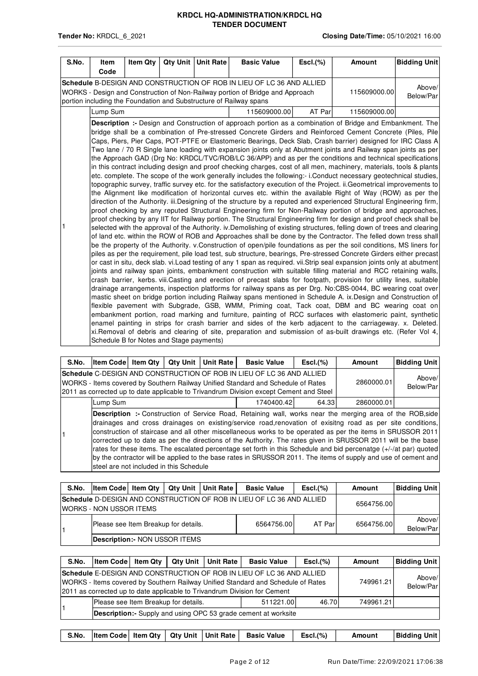| S.No. | <b>Item</b><br>Code | <b>Item Qtv</b>                          | Qty Unit | <b>Unit Rate</b> | <b>Basic Value</b>                                                                                                                                                                                                                                                                                                                                                                                                                                                                                                                                                                                                                                                                                                                                                                                                                                                                                                                                                                                                                                                                                                                                                                                                                                                                                                                                                                                                                                                                                                                                                                                                                                                                                                                                                                                                                                                                                                                                                                                                                                                                                                                                                                                                                                                                                                                                                                                                                                                                                                                                                                                                                                                                                                                                                                                                                                                                                                                                                         | $EscI.$ (%) | Amount       | <b>Bidding Unit</b> |
|-------|---------------------|------------------------------------------|----------|------------------|----------------------------------------------------------------------------------------------------------------------------------------------------------------------------------------------------------------------------------------------------------------------------------------------------------------------------------------------------------------------------------------------------------------------------------------------------------------------------------------------------------------------------------------------------------------------------------------------------------------------------------------------------------------------------------------------------------------------------------------------------------------------------------------------------------------------------------------------------------------------------------------------------------------------------------------------------------------------------------------------------------------------------------------------------------------------------------------------------------------------------------------------------------------------------------------------------------------------------------------------------------------------------------------------------------------------------------------------------------------------------------------------------------------------------------------------------------------------------------------------------------------------------------------------------------------------------------------------------------------------------------------------------------------------------------------------------------------------------------------------------------------------------------------------------------------------------------------------------------------------------------------------------------------------------------------------------------------------------------------------------------------------------------------------------------------------------------------------------------------------------------------------------------------------------------------------------------------------------------------------------------------------------------------------------------------------------------------------------------------------------------------------------------------------------------------------------------------------------------------------------------------------------------------------------------------------------------------------------------------------------------------------------------------------------------------------------------------------------------------------------------------------------------------------------------------------------------------------------------------------------------------------------------------------------------------------------------------------------|-------------|--------------|---------------------|
|       |                     |                                          |          |                  | Schedule B-DESIGN AND CONSTRUCTION OF ROB IN LIEU OF LC 36 AND ALLIED<br>WORKS - Design and Construction of Non-Railway portion of Bridge and Approach<br>portion including the Foundation and Substructure of Railway spans                                                                                                                                                                                                                                                                                                                                                                                                                                                                                                                                                                                                                                                                                                                                                                                                                                                                                                                                                                                                                                                                                                                                                                                                                                                                                                                                                                                                                                                                                                                                                                                                                                                                                                                                                                                                                                                                                                                                                                                                                                                                                                                                                                                                                                                                                                                                                                                                                                                                                                                                                                                                                                                                                                                                               |             | 115609000.00 | Above/<br>Below/Par |
|       | Lump Sum            |                                          |          |                  | 115609000.00                                                                                                                                                                                                                                                                                                                                                                                                                                                                                                                                                                                                                                                                                                                                                                                                                                                                                                                                                                                                                                                                                                                                                                                                                                                                                                                                                                                                                                                                                                                                                                                                                                                                                                                                                                                                                                                                                                                                                                                                                                                                                                                                                                                                                                                                                                                                                                                                                                                                                                                                                                                                                                                                                                                                                                                                                                                                                                                                                               | AT Par      | 115609000.00 |                     |
| 1     |                     | Schedule B for Notes and Stage payments) |          |                  | Description :- Design and Construction of approach portion as a combination of Bridge and Embankment. The<br>bridge shall be a combination of Pre-stressed Concrete Girders and Reinforced Cement Concrete (Piles, Pile<br>Caps, Piers, Pier Caps, POT-PTFE or Elastomeric Bearings, Deck Slab, Crash barrier) designed for IRC Class A<br>Two lane / 70 R Single lane loading with expansion joints only at Abutment joints and Railway span joints as per<br>the Approach GAD (Drg No: KRDCL/TVC/ROB/LC 36/APP) and as per the conditions and technical specifications<br>in this contract including design and proof checking charges, cost of all men, machinery, materials, tools & plants<br>etc. complete. The scope of the work generally includes the following:- i.Conduct necessary geotechnical studies,<br>topographic survey, traffic survey etc. for the satisfactory execution of the Project. ii.Geometrical improvements to<br>the Alignment like modification of horizontal curves etc. within the available Right of Way (ROW) as per the<br>direction of the Authority. iii.Designing of the structure by a reputed and experienced Structural Engineering firm,<br>proof checking by any reputed Structural Engineering firm for Non-Railway portion of bridge and approaches,<br>proof checking by any IIT for Railway portion. The Structural Engineering firm for design and proof check shall be<br>selected with the approval of the Authority, iv Demolishing of existing structures, felling down of trees and clearing<br>of land etc. within the ROW of ROB and Approaches shall be done by the Contractor. The felled down tress shall<br>be the property of the Authority. v.Construction of open/pile foundations as per the soil conditions, MS liners for<br>piles as per the requirement, pile load test, sub structure, bearings, Pre-stressed Concrete Girders either precast<br>or cast in situ, deck slab. vi.Load testing of any 1 span as required. vii.Strip seal expansion joints only at abutment<br>joints and railway span joints, embankment construction with suitable filling material and RCC retaining walls,<br>crash barrier, kerbs. viii.Casting and erection of precast slabs for footpath, provision for utility lines, suitable<br>drainage arrangements, inspection platforms for railway spans as per Drg. No:CBS-0044, BC wearing coat over<br>mastic sheet on bridge portion including Railway spans mentioned in Schedule A. ix. Design and Construction of<br>flexible pavement with Subgrade, GSB, WMM, Priming coat, Tack coat, DBM and BC wearing coat on<br>embankment portion, road marking and furniture, painting of RCC surfaces with elastomeric paint, synthetic<br>enamel painting in strips for crash barrier and sides of the kerb adjacent to the carriageway. x. Deleted.<br>xi.Removal of debris and clearing of site, preparation and submission of as-built drawings etc. (Refer Vol 4, |             |              |                     |

| S.No. | <b>Item Code Item Qtv</b>                                                                                                                                                                                                                           | <b>Qty Unit</b> | <b>Unit Rate</b>    | <b>Basic Value</b> | $EscI.$ (%) | Amount                                                                                                                                                                                                                                                                                                                                                                                                                                                                                                                                                                                                                                                                                          | <b>Bidding Unit</b> |
|-------|-----------------------------------------------------------------------------------------------------------------------------------------------------------------------------------------------------------------------------------------------------|-----------------|---------------------|--------------------|-------------|-------------------------------------------------------------------------------------------------------------------------------------------------------------------------------------------------------------------------------------------------------------------------------------------------------------------------------------------------------------------------------------------------------------------------------------------------------------------------------------------------------------------------------------------------------------------------------------------------------------------------------------------------------------------------------------------------|---------------------|
|       | Schedule C-DESIGN AND CONSTRUCTION OF ROB IN LIEU OF LC 36 AND ALLIED<br>WORKS - Items covered by Southern Railway Unified Standard and Schedule of Rates<br>2011 as corrected up to date applicable to Trivandrum Division except Cement and Steel | 2860000.01      | Above/<br>Below/Par |                    |             |                                                                                                                                                                                                                                                                                                                                                                                                                                                                                                                                                                                                                                                                                                 |                     |
|       | Lump Sum                                                                                                                                                                                                                                            |                 |                     | 1740400.42         | 64.33       | 2860000.01                                                                                                                                                                                                                                                                                                                                                                                                                                                                                                                                                                                                                                                                                      |                     |
|       | Isteel are not included in this Schedule                                                                                                                                                                                                            |                 |                     |                    |             | Description :- Construction of Service Road, Retaining wall, works near the merging area of the ROB, side<br>drainages and cross drainages on existing/service road, renovation of exisitng road as per site conditions,<br>construction of staircase and all other miscellaneous works to be operated as per the items in SRUSSOR 2011<br>corrected up to date as per the directions of the Authority. The rates given in SRUSSOR 2011 will be the base<br>rates for these items. The escalated percentage set forth in this Schedule and bid percenatge (+/-/at par) quoted<br>by the contractor will be applied to the base rates in SRUSSOR 2011. The items of supply and use of cement and |                     |

| S.No. | <b>Item Code Item Qtv</b>                                                                                              |  |  | <b>Qty Unit   Unit Rate</b> | <b>Basic Value</b> | $EscI.$ (%) | Amount     | <b>Bidding Unit</b> |  |  |
|-------|------------------------------------------------------------------------------------------------------------------------|--|--|-----------------------------|--------------------|-------------|------------|---------------------|--|--|
|       | Schedule D-DESIGN AND CONSTRUCTION OF ROB IN LIEU OF LC 36 AND ALLIED<br>6564756.00<br><b>IWORKS - NON USSOR ITEMS</b> |  |  |                             |                    |             |            |                     |  |  |
|       | Please see Item Breakup for details.                                                                                   |  |  |                             | 6564756.00         | AT Parl     | 6564756.00 | Above/<br>Below/Par |  |  |
|       | <b>Description:- NON USSOR ITEMS</b>                                                                                   |  |  |                             |                    |             |            |                     |  |  |

| S.No.                                                                                                                                                                                                                                  | <b>Item Code Item Qtv</b>            |                     | Qty Unit   Unit Rate | <b>Basic Value</b>                                                    | $EscI.$ (%) | Amount    | <b>Bidding Unit</b> |
|----------------------------------------------------------------------------------------------------------------------------------------------------------------------------------------------------------------------------------------|--------------------------------------|---------------------|----------------------|-----------------------------------------------------------------------|-------------|-----------|---------------------|
| Schedule E-DESIGN AND CONSTRUCTION OF ROB IN LIEU OF LC 36 AND ALLIED<br>WORKS - Items covered by Southern Railway Unified Standard and Schedule of Rates<br>2011 as corrected up to date applicable to Trivandrum Division for Cement | 749961.21                            | Above/<br>Below/Par |                      |                                                                       |             |           |                     |
|                                                                                                                                                                                                                                        | Please see Item Breakup for details. |                     |                      | 511221.00                                                             | 46.70       | 749961.21 |                     |
|                                                                                                                                                                                                                                        |                                      |                     |                      | <b>Description:-</b> Supply and using OPC 53 grade cement at worksite |             |           |                     |

|  |  |  |  |  | S.No.  Item Code  Item Qty   Qty Unit   Unit Rate   Basic Value   Escl.(%) |  | Amount | <b>Bidding Unit</b> |
|--|--|--|--|--|----------------------------------------------------------------------------|--|--------|---------------------|
|--|--|--|--|--|----------------------------------------------------------------------------|--|--------|---------------------|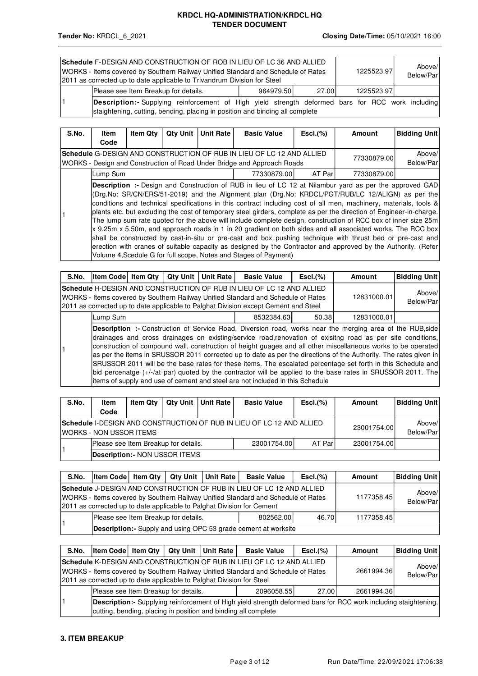| <b>Schedule F-DESIGN AND CONSTRUCTION OF ROB IN LIEU OF LC 36 AND ALLIED</b><br>1225523.97<br>WORKS - Items covered by Southern Railway Unified Standard and Schedule of Rates<br>2011 as corrected up to date applicable to Trivandrum Division for Steel<br>Please see Item Breakup for details.<br>27.00<br>964979.50 |  |  |            |  |  |  |  |  |  |
|--------------------------------------------------------------------------------------------------------------------------------------------------------------------------------------------------------------------------------------------------------------------------------------------------------------------------|--|--|------------|--|--|--|--|--|--|
|                                                                                                                                                                                                                                                                                                                          |  |  | 1225523.97 |  |  |  |  |  |  |
| Description:- Supplying reinforcement of High yield strength deformed bars for RCC work including                                                                                                                                                                                                                        |  |  |            |  |  |  |  |  |  |
| staightening, cutting, bending, placing in position and binding all complete                                                                                                                                                                                                                                             |  |  |            |  |  |  |  |  |  |

| S.No. | Item     | <b>Item Qtv</b> | <b>Qty Unit</b> | <b>Unit Rate</b> | <b>Basic Value</b>                                                                                                                                                                                                                                                                                                                                                                                                                                                                                                                                                                                                                                                                                                                                                                                                                                                                                                                                                                                  | $\mathsf{Escl.}(\%)$ | Amount      | <b>Bidding Unit</b> |
|-------|----------|-----------------|-----------------|------------------|-----------------------------------------------------------------------------------------------------------------------------------------------------------------------------------------------------------------------------------------------------------------------------------------------------------------------------------------------------------------------------------------------------------------------------------------------------------------------------------------------------------------------------------------------------------------------------------------------------------------------------------------------------------------------------------------------------------------------------------------------------------------------------------------------------------------------------------------------------------------------------------------------------------------------------------------------------------------------------------------------------|----------------------|-------------|---------------------|
|       | Code     |                 |                 |                  | <b>Schedule</b> G-DESIGN AND CONSTRUCTION OF RUB IN LIEU OF LC 12 AND ALLIED<br>WORKS - Design and Construction of Road Under Bridge and Approach Roads                                                                                                                                                                                                                                                                                                                                                                                                                                                                                                                                                                                                                                                                                                                                                                                                                                             |                      | 77330879.00 | Above/<br>Below/Par |
|       | Lump Sum |                 |                 |                  | 77330879.00                                                                                                                                                                                                                                                                                                                                                                                                                                                                                                                                                                                                                                                                                                                                                                                                                                                                                                                                                                                         | AT Parl              | 77330879.00 |                     |
|       |          |                 |                 |                  | <b>Description :-</b> Design and Construction of RUB in lieu of LC 12 at Nilambur yard as per the approved GAD<br>(Drg.No: SR/CN/ERS/51-2019) and the Alignment plan (Drg.No: KRDCL/PGT/RUB/LC 12/ALIGN) as per the<br>conditions and technical specifications in this contract including cost of all men, machinery, materials, tools &<br>plants etc. but excluding the cost of temporary steel girders, complete as per the direction of Engineer-in-charge.<br>The lump sum rate quoted for the above will include complete design, construction of RCC box of inner size 25m<br>x 9.25m x 5.50m, and approach roads in 1 in 20 gradient on both sides and all associated works. The RCC box<br>shall be constructed by cast-in-situ or pre-cast and box pushing technique with thrust bed or pre-cast and<br>erection with cranes of suitable capacity as designed by the Contractor and approved by the Authority. (Refer<br>Volume 4. Scedule G for full scope, Notes and Stages of Payment) |                      |             |                     |

| S.No.                                                                                                                                                                                                                                             | <b>Item Code</b> Item Qty                      |                     |  | Qty Unit   Unit Rate | <b>Basic Value</b> | $\mathsf{Escl.}(\%)$ | Amount                                                                                                                                                                                                                           | <b>Bidding Unit</b> |  |  |
|---------------------------------------------------------------------------------------------------------------------------------------------------------------------------------------------------------------------------------------------------|------------------------------------------------|---------------------|--|----------------------|--------------------|----------------------|----------------------------------------------------------------------------------------------------------------------------------------------------------------------------------------------------------------------------------|---------------------|--|--|
| Schedule H-DESIGN AND CONSTRUCTION OF RUB IN LIEU OF LC 12 AND ALLIED<br>WORKS - Items covered by Southern Railway Unified Standard and Schedule of Rates<br>[2011 as corrected up to date applicable to Palghat Division except Cement and Steel | 12831000.01                                    | Above/<br>Below/Par |  |                      |                    |                      |                                                                                                                                                                                                                                  |                     |  |  |
|                                                                                                                                                                                                                                                   | 50.38<br>12831000.01<br>Lump Sum<br>8532384.63 |                     |  |                      |                    |                      |                                                                                                                                                                                                                                  |                     |  |  |
|                                                                                                                                                                                                                                                   |                                                |                     |  |                      |                    |                      | <b>Description</b> :- Construction of Service Road, Diversion road, works near the merging area of the RUB, side<br>ldrainages and cross drainages on existing/service road-renovation of exisitng road as per site conditions b |                     |  |  |

drainages and cross drainages on existing/service road,renovation of exisitng road as per site conditions, construction of compound wall, construction of height guages and all other miscellaneous works to be operated as per the items in SRUSSOR 2011 corrected up to date as per the directions of the Authority. The rates given in SRUSSOR 2011 will be the base rates for these items. The escalated percentage set forth in this Schedule and bid percenatge (+/-/at par) quoted by the contractor will be applied to the base rates in SRUSSOR 2011. The items of supply and use of cement and steel are not included in this Schedule

| S.No.                                                                                                            | <b>Item</b><br>Code                                                           | <b>Item Qtv</b>     |  | <b>Qtv Unit I Unit Rate</b> | <b>Basic Value</b> | $\mathsf{Escl.}(\%)$ | Amount | <b>Bidding Unit</b> |  |  |
|------------------------------------------------------------------------------------------------------------------|-------------------------------------------------------------------------------|---------------------|--|-----------------------------|--------------------|----------------------|--------|---------------------|--|--|
| <b>ISchedule I-DESIGN AND CONSTRUCTION OF RUB IN LIEU OF LC 12 AND ALLIED</b><br><b>IWORKS - NON USSOR ITEMS</b> | 23001754.00                                                                   | Above/<br>Below/Par |  |                             |                    |                      |        |                     |  |  |
|                                                                                                                  | Please see Item Breakup for details.<br>AT Parl<br>23001754.00<br>23001754.00 |                     |  |                             |                    |                      |        |                     |  |  |
|                                                                                                                  | <b>Description:- NON USSOR ITEMS</b>                                          |                     |  |                             |                    |                      |        |                     |  |  |

| S.No. | Item Code   Item Qty   Qty Unit   Unit Rate                                                                                                                                                                                         |            | <b>Basic Value</b>                                                    | $\mathsf{Escl.}(\%)$ | Amount     | <b>Bidding Unit</b> |
|-------|-------------------------------------------------------------------------------------------------------------------------------------------------------------------------------------------------------------------------------------|------------|-----------------------------------------------------------------------|----------------------|------------|---------------------|
|       | Schedule J-DESIGN AND CONSTRUCTION OF RUB IN LIEU OF LC 12 AND ALLIED<br>WORKS - Items covered by Southern Railway Unified Standard and Schedule of Rates<br>2011 as corrected up to date applicable to Palghat Division for Cement | 1177358.45 | Above/<br>Below/Par                                                   |                      |            |                     |
|       | Please see Item Breakup for details.                                                                                                                                                                                                |            | 802562.00                                                             | 46.70                | 1177358.45 |                     |
|       |                                                                                                                                                                                                                                     |            | <b>Description:-</b> Supply and using OPC 53 grade cement at worksite |                      |            |                     |

| S.No. | <b>Item Code Item Qtv</b>                                                                                                                                                         |  |  | <b>Qty Unit   Unit Rate</b> | <b>Basic Value</b>                                                                                                                                        | $\mathsf{Escl.}(\%)$ | Amount     | <b>Bidding Unit</b> |
|-------|-----------------------------------------------------------------------------------------------------------------------------------------------------------------------------------|--|--|-----------------------------|-----------------------------------------------------------------------------------------------------------------------------------------------------------|----------------------|------------|---------------------|
|       | 2011 as corrected up to date applicable to Palghat Division for Steel                                                                                                             |  |  |                             | Schedule K-DESIGN AND CONSTRUCTION OF RUB IN LIEU OF LC 12 AND ALLIED<br>WORKS - Items covered by Southern Railway Unified Standard and Schedule of Rates |                      | 2661994.36 | Above/<br>Below/Par |
|       | Please see Item Breakup for details.<br>27.00<br>2096058.55<br>2661994.36                                                                                                         |  |  |                             |                                                                                                                                                           |                      |            |                     |
|       | Description:- Supplying reinforcement of High yield strength deformed bars for RCC work including staightening,<br>cutting, bending, placing in position and binding all complete |  |  |                             |                                                                                                                                                           |                      |            |                     |

### **3. ITEM BREAKUP**

1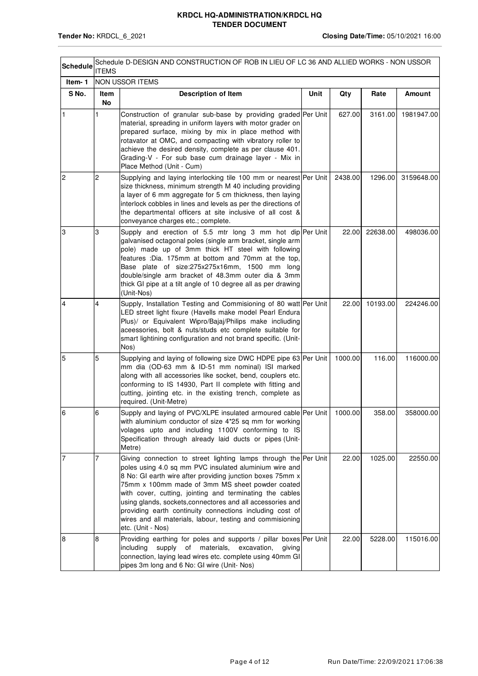| <b>Schedule</b> | <b>ITEMS</b>   | Schedule D-DESIGN AND CONSTRUCTION OF ROB IN LIEU OF LC 36 AND ALLIED WORKS - NON USSOR                                                                                                                                                                                                                                                                                                                                                                                                                           |      |         |          |            |
|-----------------|----------------|-------------------------------------------------------------------------------------------------------------------------------------------------------------------------------------------------------------------------------------------------------------------------------------------------------------------------------------------------------------------------------------------------------------------------------------------------------------------------------------------------------------------|------|---------|----------|------------|
| Item-1          |                | <b>NON USSOR ITEMS</b>                                                                                                                                                                                                                                                                                                                                                                                                                                                                                            |      |         |          |            |
| S No.           | Item<br>No     | <b>Description of Item</b>                                                                                                                                                                                                                                                                                                                                                                                                                                                                                        | Unit | Qty     | Rate     | Amount     |
| 1               | 1              | Construction of granular sub-base by providing graded Per Unit<br>material, spreading in uniform layers with motor grader on<br>prepared surface, mixing by mix in place method with<br>rotavator at OMC, and compacting with vibratory roller to<br>achieve the desired density, complete as per clause 401.<br>Grading-V - For sub base cum drainage layer - Mix in<br>Place Method (Unit - Cum)                                                                                                                |      | 627.00  | 3161.00  | 1981947.00 |
| $\overline{c}$  | $\overline{c}$ | Supplying and laying interlocking tile 100 mm or nearest Per Unit<br>size thickness, minimum strength M 40 including providing<br>a layer of 6 mm aggregate for 5 cm thickness, then laying<br>interlock cobbles in lines and levels as per the directions of<br>the departmental officers at site inclusive of all cost &<br>conveyance charges etc.; complete.                                                                                                                                                  |      | 2438.00 | 1296.00  | 3159648.00 |
| 3               | 3              | Supply and erection of 5.5 mtr long 3 mm hot dip Per Unit<br>galvanised octagonal poles (single arm bracket, single arm<br>pole) made up of 3mm thick HT steel with following<br>features : Dia. 175mm at bottom and 70mm at the top,<br>Base plate of size:275x275x16mm, 1500 mm long<br>double/single arm bracket of 48.3mm outer dia & 3mm<br>thick GI pipe at a tilt angle of 10 degree all as per drawing<br>(Unit-Nos)                                                                                      |      | 22.00   | 22638.00 | 498036.00  |
| 4               | 4              | Supply, Installation Testing and Commisioning of 80 watt Per Unit<br>LED street light fixure (Havells make model Pearl Endura<br>Plus)/ or Equivalent Wipro/Bajaj/Philips make incliuding<br>aceessories, bolt & nuts/studs etc complete suitable for<br>smart lightining configuration and not brand specific. (Unit-<br>Nos)                                                                                                                                                                                    |      | 22.00   | 10193.00 | 224246.00  |
| 5               | 5              | Supplying and laying of following size DWC HDPE pipe 63 Per Unit<br>mm dia (OD-63 mm & ID-51 mm nominal) ISI marked<br>along with all accessories like socket, bend, couplers etc.<br>conforming to IS 14930, Part II complete with fitting and<br>cutting, jointing etc. in the existing trench, complete as<br>required. (Unit-Metre)                                                                                                                                                                           |      | 1000.00 | 116.00   | 116000.00  |
|                 | 6              | Supply and laying of PVC/XLPE insulated armoured cable Per Unit<br>with aluminium conductor of size 4*25 sq mm for working<br>volages upto and including 1100V conforming to IS<br>Specification through already laid ducts or pipes (Unit-<br>Metre)                                                                                                                                                                                                                                                             |      | 1000.00 | 358.00   | 358000.00  |
| 17              | 7              | Giving connection to street lighting lamps through the Per Unit<br>poles using 4.0 sq mm PVC insulated aluminium wire and<br>8 No: GI earth wire after providing junction boxes 75mm x<br>75mm x 100mm made of 3mm MS sheet powder coated<br>with cover, cutting, jointing and terminating the cables<br>using glands, sockets, connectores and all accessories and<br>providing earth continuity connections including cost of<br>wires and all materials, labour, testing and commisioning<br>etc. (Unit - Nos) |      | 22.00   | 1025.00  | 22550.00   |
| 8               | 8              | Providing earthing for poles and supports / pillar boxes Per Unit<br>including<br>supply of materials,<br>excavation,<br>giving<br>connection, laying lead wires etc. complete using 40mm GI<br>pipes 3m long and 6 No: GI wire (Unit- Nos)                                                                                                                                                                                                                                                                       |      | 22.00   | 5228.00  | 115016.00  |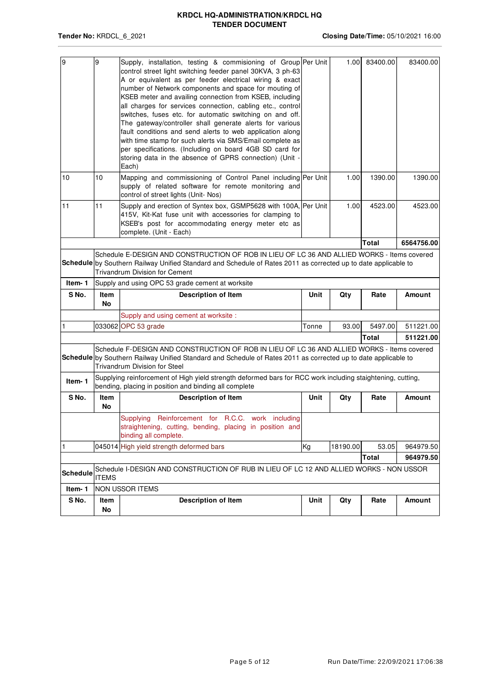| 9               | 9            | Supply, installation, testing & commisioning of Group Per Unit                                                                                                      |             | 1.00     | 83400.00 | 83400.00   |
|-----------------|--------------|---------------------------------------------------------------------------------------------------------------------------------------------------------------------|-------------|----------|----------|------------|
|                 |              | control street light switching feeder panel 30KVA, 3 ph-63                                                                                                          |             |          |          |            |
|                 |              | A or equivalent as per feeder electrical wiring & exact<br>number of Network components and space for mouting of                                                    |             |          |          |            |
|                 |              | KSEB meter and availing connection from KSEB, including                                                                                                             |             |          |          |            |
|                 |              | all charges for services connection, cabling etc., control                                                                                                          |             |          |          |            |
|                 |              | switches, fuses etc. for automatic switching on and off.                                                                                                            |             |          |          |            |
|                 |              | The gateway/controller shall generate alerts for various                                                                                                            |             |          |          |            |
|                 |              | fault conditions and send alerts to web application along                                                                                                           |             |          |          |            |
|                 |              | with time stamp for such alerts via SMS/Email complete as                                                                                                           |             |          |          |            |
|                 |              | per specifications. (Including on board 4GB SD card for                                                                                                             |             |          |          |            |
|                 |              | storing data in the absence of GPRS connection) (Unit -                                                                                                             |             |          |          |            |
| 10              | 10           | Each)<br>Mapping and commissioning of Control Panel including Per Unit                                                                                              |             | 1.00     | 1390.00  | 1390.00    |
|                 |              | supply of related software for remote monitoring and                                                                                                                |             |          |          |            |
|                 |              | control of street lights (Unit-Nos)                                                                                                                                 |             |          |          |            |
| 11              | 11           | Supply and erection of Syntex box, GSMP5628 with 100A, Per Unit                                                                                                     |             | 1.00     | 4523.00  | 4523.00    |
|                 |              | 415V, Kit-Kat fuse unit with accessories for clamping to                                                                                                            |             |          |          |            |
|                 |              | KSEB's post for accommodating energy meter etc as                                                                                                                   |             |          |          |            |
|                 |              | complete. (Unit - Each)                                                                                                                                             |             |          |          |            |
|                 |              |                                                                                                                                                                     |             |          | Total    | 6564756.00 |
|                 |              | Schedule E-DESIGN AND CONSTRUCTION OF ROB IN LIEU OF LC 36 AND ALLIED WORKS - Items covered                                                                         |             |          |          |            |
|                 |              | Schedule by Southern Railway Unified Standard and Schedule of Rates 2011 as corrected up to date applicable to                                                      |             |          |          |            |
|                 |              | <b>Trivandrum Division for Cement</b>                                                                                                                               |             |          |          |            |
| Item-1          |              | Supply and using OPC 53 grade cement at worksite                                                                                                                    |             |          |          |            |
|                 |              |                                                                                                                                                                     |             |          |          |            |
| S No.           | <b>Item</b>  | <b>Description of Item</b>                                                                                                                                          | <b>Unit</b> | Qty      | Rate     | Amount     |
|                 | No           |                                                                                                                                                                     |             |          |          |            |
| 1               |              | Supply and using cement at worksite :                                                                                                                               | Tonne       | 93.00    | 5497.00  | 511221.00  |
|                 |              | 033062 OPC 53 grade                                                                                                                                                 |             |          |          |            |
|                 |              |                                                                                                                                                                     |             |          | Total    | 511221.00  |
|                 |              | Schedule F-DESIGN AND CONSTRUCTION OF ROB IN LIEU OF LC 36 AND ALLIED WORKS - Items covered                                                                         |             |          |          |            |
|                 |              | Schedule by Southern Railway Unified Standard and Schedule of Rates 2011 as corrected up to date applicable to<br><b>Trivandrum Division for Steel</b>              |             |          |          |            |
|                 |              |                                                                                                                                                                     |             |          |          |            |
| Item-1          |              | Supplying reinforcement of High yield strength deformed bars for RCC work including staightening, cutting,<br>bending, placing in position and binding all complete |             |          |          |            |
| S No.           | Item         | <b>Description of Item</b>                                                                                                                                          | Unit        | Qty      | Rate     | Amount     |
|                 | No           |                                                                                                                                                                     |             |          |          |            |
|                 |              | Supplying Reinforcement for R.C.C. work including                                                                                                                   |             |          |          |            |
|                 |              | straightening, cutting, bending, placing in position and                                                                                                            |             |          |          |            |
|                 |              | binding all complete.                                                                                                                                               |             |          |          |            |
| 1               |              | 045014 High yield strength deformed bars                                                                                                                            | Kg          | 18190.00 | 53.05    | 964979.50  |
|                 |              |                                                                                                                                                                     |             |          | Total    | 964979.50  |
| <b>Schedule</b> | <b>ITEMS</b> | Schedule I-DESIGN AND CONSTRUCTION OF RUB IN LIEU OF LC 12 AND ALLIED WORKS - NON USSOR                                                                             |             |          |          |            |
| Item-1          |              | NON USSOR ITEMS                                                                                                                                                     |             |          |          |            |
| S No.           | Item         | <b>Description of Item</b>                                                                                                                                          | Unit        | Qty      | Rate     | Amount     |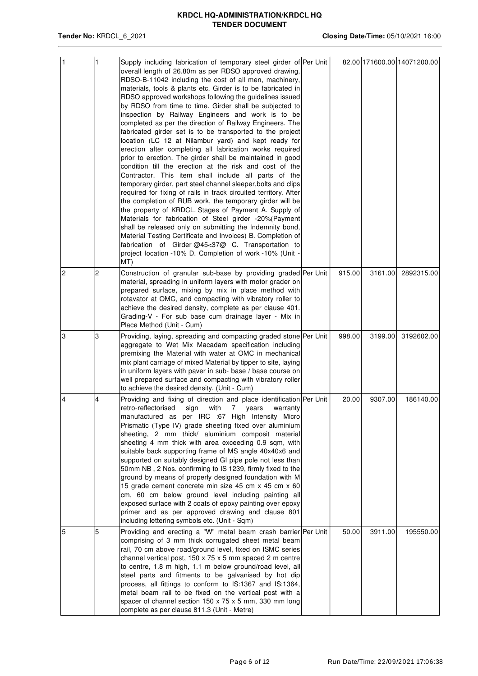| $\vert$ 1      | 1 | Supply including fabrication of temporary steel girder of Per Unit<br>overall length of 26.80m as per RDSO approved drawing,<br>RDSO-B-11042 including the cost of all men, machinery,<br>materials, tools & plants etc. Girder is to be fabricated in<br>RDSO approved workshops following the guidelines issued<br>by RDSO from time to time. Girder shall be subjected to<br>inspection by Railway Engineers and work is to be<br>completed as per the direction of Railway Engineers. The<br>fabricated girder set is to be transported to the project<br>location (LC 12 at Nilambur yard) and kept ready for<br>erection after completing all fabrication works required<br>prior to erection. The girder shall be maintained in good<br>condition till the erection at the risk and cost of the<br>Contractor. This item shall include all parts of the<br>temporary girder, part steel channel sleeper, bolts and clips<br>required for fixing of rails in track circuited territory. After<br>the completion of RUB work, the temporary girder will be<br>the property of KRDCL. Stages of Payment A. Supply of<br>Materials for fabrication of Steel girder -20% (Payment<br>shall be released only on submitting the Indemnity bond,<br>Material Testing Certificate and Invoices) B. Completion of<br>fabrication of Girder @45<37@ C. Transportation to<br>project location -10% D. Completion of work -10% (Unit -<br>MT) |        |         | 82.00 171600.00 14071200.00 |
|----------------|---|-----------------------------------------------------------------------------------------------------------------------------------------------------------------------------------------------------------------------------------------------------------------------------------------------------------------------------------------------------------------------------------------------------------------------------------------------------------------------------------------------------------------------------------------------------------------------------------------------------------------------------------------------------------------------------------------------------------------------------------------------------------------------------------------------------------------------------------------------------------------------------------------------------------------------------------------------------------------------------------------------------------------------------------------------------------------------------------------------------------------------------------------------------------------------------------------------------------------------------------------------------------------------------------------------------------------------------------------------------------------------------------------------------------------------------------------|--------|---------|-----------------------------|
| $\overline{2}$ | 2 | Construction of granular sub-base by providing graded Per Unit<br>material, spreading in uniform layers with motor grader on<br>prepared surface, mixing by mix in place method with<br>rotavator at OMC, and compacting with vibratory roller to<br>achieve the desired density, complete as per clause 401.<br>Grading-V - For sub base cum drainage layer - Mix in<br>Place Method (Unit - Cum)                                                                                                                                                                                                                                                                                                                                                                                                                                                                                                                                                                                                                                                                                                                                                                                                                                                                                                                                                                                                                                      | 915.00 | 3161.00 | 2892315.00                  |
| 3              | 3 | Providing, laying, spreading and compacting graded stone Per Unit<br>aggregate to Wet Mix Macadam specification including<br>premixing the Material with water at OMC in mechanical<br>mix plant carriage of mixed Material by tipper to site, laying<br>in uniform layers with paver in sub- base / base course on<br>well prepared surface and compacting with vibratory roller<br>to achieve the desired density. (Unit - Cum)                                                                                                                                                                                                                                                                                                                                                                                                                                                                                                                                                                                                                                                                                                                                                                                                                                                                                                                                                                                                       | 998.00 | 3199.00 | 3192602.00                  |
| 4              | 4 | Providing and fixing of direction and place identification Per Unit<br>retro-reflectorised sign<br>with 7 years<br>warranty<br>manufactured as per IRC :67 High Intensity Micro<br>Prismatic (Type IV) grade sheeting fixed over aluminium<br>sheeting, 2 mm thick/ aluminium composit material<br>sheeting 4 mm thick with area exceeding 0.9 sqm, with<br>suitable back supporting frame of MS angle 40x40x6 and<br>supported on suitably designed GI pipe pole not less than<br>50mm NB, 2 Nos. confirming to IS 1239, firmly fixed to the<br>ground by means of properly designed foundation with M<br>15 grade cement concrete min size 45 cm x 45 cm x 60<br>cm, 60 cm below ground level including painting all<br>exposed surface with 2 coats of epoxy painting over epoxy<br>primer and as per approved drawing and clause 801<br>including lettering symbols etc. (Unit - Sqm)                                                                                                                                                                                                                                                                                                                                                                                                                                                                                                                                               | 20.00  | 9307.00 | 186140.00                   |
| 5              | 5 | Providing and erecting a "W" metal beam crash barrier Per Unit<br>comprising of 3 mm thick corrugated sheet metal beam<br>rail, 70 cm above road/ground level, fixed on ISMC series<br>channel vertical post, $150 \times 75 \times 5$ mm spaced 2 m centre<br>to centre, 1.8 m high, 1.1 m below ground/road level, all<br>steel parts and fitments to be galvanised by hot dip<br>process, all fittings to conform to IS:1367 and IS:1364,<br>metal beam rail to be fixed on the vertical post with a<br>spacer of channel section 150 x 75 x 5 mm, 330 mm long<br>complete as per clause 811.3 (Unit - Metre)                                                                                                                                                                                                                                                                                                                                                                                                                                                                                                                                                                                                                                                                                                                                                                                                                        | 50.00  | 3911.00 | 195550.00                   |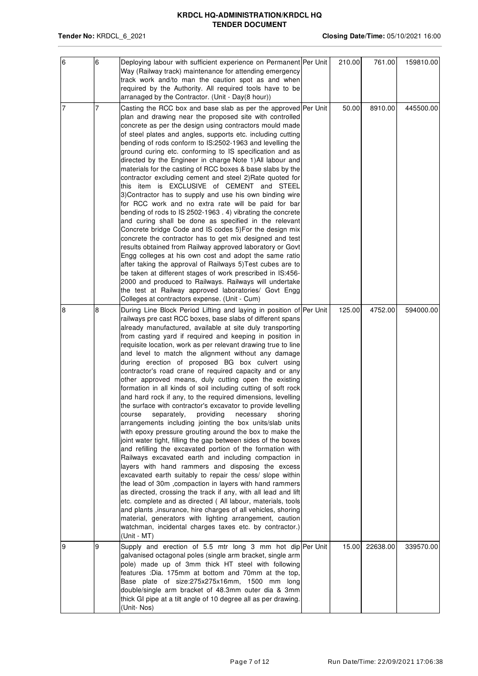| 6 | 6 | Deploying labour with sufficient experience on Permanent Per Unit<br>Way (Railway track) maintenance for attending emergency<br>track work and/to man the caution spot as and when<br>required by the Authority. All required tools have to be<br>arranaged by the Contractor. (Unit - Day(8 hour))                                                                                                                                                                                                                                                                                                                                                                                                                                                                                                                                                                                                                                                                                                                                                                                                                                                                                                                                                                                                                                                                                                                                                                                                                                                                                                                                                      | 210.00 | 761.00   | 159810.00 |
|---|---|----------------------------------------------------------------------------------------------------------------------------------------------------------------------------------------------------------------------------------------------------------------------------------------------------------------------------------------------------------------------------------------------------------------------------------------------------------------------------------------------------------------------------------------------------------------------------------------------------------------------------------------------------------------------------------------------------------------------------------------------------------------------------------------------------------------------------------------------------------------------------------------------------------------------------------------------------------------------------------------------------------------------------------------------------------------------------------------------------------------------------------------------------------------------------------------------------------------------------------------------------------------------------------------------------------------------------------------------------------------------------------------------------------------------------------------------------------------------------------------------------------------------------------------------------------------------------------------------------------------------------------------------------------|--------|----------|-----------|
| 7 | 7 | Casting the RCC box and base slab as per the approved Per Unit<br>plan and drawing near the proposed site with controlled<br>concrete as per the design using contractors mould made<br>of steel plates and angles, supports etc. including cutting<br>bending of rods conform to IS:2502-1963 and levelling the<br>ground curing etc. conforming to IS specification and as<br>directed by the Engineer in charge Note 1) All labour and<br>materials for the casting of RCC boxes & base slabs by the<br>contractor excluding cement and steel 2) Rate quoted for<br>this item is EXCLUSIVE of CEMENT and STEEL<br>3) Contractor has to supply and use his own binding wire<br>for RCC work and no extra rate will be paid for bar<br>bending of rods to IS 2502-1963. 4) vibrating the concrete<br>and curing shall be done as specified in the relevant<br>Concrete bridge Code and IS codes 5) For the design mix<br>concrete the contractor has to get mix designed and test<br>results obtained from Railway approved laboratory or Govt<br>Engg colleges at his own cost and adopt the same ratio<br>after taking the approval of Railways 5) Test cubes are to<br>be taken at different stages of work prescribed in IS:456-<br>2000 and produced to Railways. Railways will undertake<br>the test at Railway approved laboratories/ Govt Engg<br>Colleges at contractors expense. (Unit - Cum)                                                                                                                                                                                                                                                 | 50.00  | 8910.00  | 445500.00 |
| 8 | 8 | During Line Block Period Lifting and laying in position of Per Unit<br>railways pre cast RCC boxes, base slabs of different spans<br>already manufactured, available at site duly transporting<br>from casting yard if required and keeping in position in<br>requisite location, work as per relevant drawing true to line<br>and level to match the alignment without any damage<br>during erection of proposed BG box culvert using<br>contractor's road crane of required capacity and or any<br>other approved means, duly cutting open the existing<br>formation in all kinds of soil including cutting of soft rock<br>and hard rock if any, to the required dimensions, levelling<br>the surface with contractor's excavator to provide levelling<br>providing<br>course<br>separately,<br>necessary<br>shoring<br>arrangements including jointing the box units/slab units<br>with epoxy pressure grouting around the box to make the<br>joint water tight, filling the gap between sides of the boxes<br>and refilling the excavated portion of the formation with<br>Railways excavated earth and including compaction in<br>layers with hand rammers and disposing the excess<br>excavated earth suitably to repair the cess/ slope within<br>the lead of 30m, compaction in layers with hand rammers<br>as directed, crossing the track if any, with all lead and lift<br>etc. complete and as directed (All labour, materials, tools<br>and plants , insurance, hire charges of all vehicles, shoring<br>material, generators with lighting arrangement, caution<br>watchman, incidental charges taxes etc. by contractor.)<br>(Unit - MT) | 125.00 | 4752.00  | 594000.00 |
| 9 | 9 | Supply and erection of 5.5 mtr long 3 mm hot dip Per Unit<br>galvanised octagonal poles (single arm bracket, single arm<br>pole) made up of 3mm thick HT steel with following<br>features : Dia. 175mm at bottom and 70mm at the top,<br>Base plate of size:275x275x16mm, 1500 mm long<br>double/single arm bracket of 48.3mm outer dia & 3mm<br>thick GI pipe at a tilt angle of 10 degree all as per drawing.<br>(Unit-Nos)                                                                                                                                                                                                                                                                                                                                                                                                                                                                                                                                                                                                                                                                                                                                                                                                                                                                                                                                                                                                                                                                                                                                                                                                                            | 15.00  | 22638.00 | 339570.00 |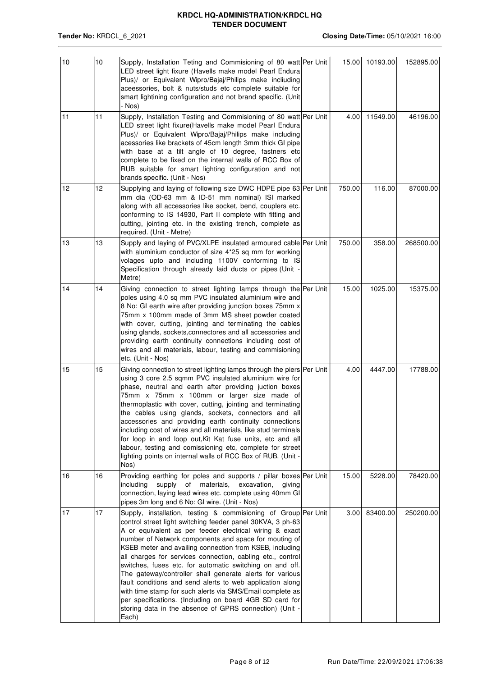| 10 | 10              | Supply, Installation Teting and Commisioning of 80 watt Per Unit<br>LED street light fixure (Havells make model Pearl Endura<br>Plus)/ or Equivalent Wipro/Bajaj/Philips make incliuding<br>aceessories, bolt & nuts/studs etc complete suitable for<br>smart lightining configuration and not brand specific. (Unit<br>- Nos)                                                                                                                                                                                                                                                                                                                                                                                                                             | 15.00  | 10193.00 | 152895.00 |
|----|-----------------|------------------------------------------------------------------------------------------------------------------------------------------------------------------------------------------------------------------------------------------------------------------------------------------------------------------------------------------------------------------------------------------------------------------------------------------------------------------------------------------------------------------------------------------------------------------------------------------------------------------------------------------------------------------------------------------------------------------------------------------------------------|--------|----------|-----------|
| 11 | 11              | Supply, Installation Testing and Commisioning of 80 watt Per Unit<br>LED street light fixure(Havells make model Pearl Endura<br>Plus)/ or Equivalent Wipro/Bajaj/Philips make including<br>acessories like brackets of 45cm length 3mm thick GI pipe<br>with base at a tilt angle of 10 degree, fastners etc<br>complete to be fixed on the internal walls of RCC Box of<br>RUB suitable for smart lighting configuration and not<br>brands specific. (Unit - Nos)                                                                                                                                                                                                                                                                                         | 4.00   | 11549.00 | 46196.00  |
| 12 | 12 <sup>2</sup> | Supplying and laying of following size DWC HDPE pipe 63 Per Unit<br>mm dia (OD-63 mm & ID-51 mm nominal) ISI marked<br>along with all accessories like socket, bend, couplers etc.<br>conforming to IS 14930, Part II complete with fitting and<br>cutting, jointing etc. in the existing trench, complete as<br>required. (Unit - Metre)                                                                                                                                                                                                                                                                                                                                                                                                                  | 750.00 | 116.00   | 87000.00  |
| 13 | 13              | Supply and laying of PVC/XLPE insulated armoured cable Per Unit<br>with aluminium conductor of size 4*25 sq mm for working<br>volages upto and including 1100V conforming to IS<br>Specification through already laid ducts or pipes (Unit -<br>Metre)                                                                                                                                                                                                                                                                                                                                                                                                                                                                                                     | 750.00 | 358.00   | 268500.00 |
| 14 | 14              | Giving connection to street lighting lamps through the Per Unit<br>poles using 4.0 sq mm PVC insulated aluminium wire and<br>8 No: GI earth wire after providing junction boxes 75mm x<br>75mm x 100mm made of 3mm MS sheet powder coated<br>with cover, cutting, jointing and terminating the cables<br>using glands, sockets, connectores and all accessories and<br>providing earth continuity connections including cost of<br>wires and all materials, labour, testing and commisioning<br>etc. (Unit - Nos)                                                                                                                                                                                                                                          | 15.00  | 1025.00  | 15375.00  |
| 15 | 15              | Giving connection to street lighting lamps through the piers Per Unit<br>using 3 core 2.5 sqmm PVC insulated aluminium wire for<br>phase, neutral and earth after providing juction boxes<br>75mm x 75mm x 100mm or larger size made of<br>thermoplastic with cover, cutting, jointing and terminating<br>the cables using glands, sockets, connectors and all<br>accessories and providing earth continuity connections<br>including cost of wires and all materials, like stud terminals<br>for loop in and loop out, Kit Kat fuse units, etc and all<br>labour, testing and comissioning etc, complete for street<br>lighting points on internal walls of RCC Box of RUB. (Unit -<br>Nos)                                                               | 4.00   | 4447.00  | 17788.00  |
| 16 | 16              | Providing earthing for poles and supports / pillar boxes Per Unit<br>including<br>supply of materials, excavation,<br>giving<br>connection, laying lead wires etc. complete using 40mm GI<br>pipes 3m long and 6 No: GI wire. (Unit - Nos)                                                                                                                                                                                                                                                                                                                                                                                                                                                                                                                 | 15.00  | 5228.00  | 78420.00  |
| 17 | 17              | Supply, installation, testing & commisioning of Group Per Unit<br>control street light switching feeder panel 30KVA, 3 ph-63<br>A or equivalent as per feeder electrical wiring & exact<br>number of Network components and space for mouting of<br>KSEB meter and availing connection from KSEB, including<br>all charges for services connection, cabling etc., control<br>switches, fuses etc. for automatic switching on and off.<br>The gateway/controller shall generate alerts for various<br>fault conditions and send alerts to web application along<br>with time stamp for such alerts via SMS/Email complete as<br>per specifications. (Including on board 4GB SD card for<br>storing data in the absence of GPRS connection) (Unit -<br>Each) | 3.00   | 83400.00 | 250200.00 |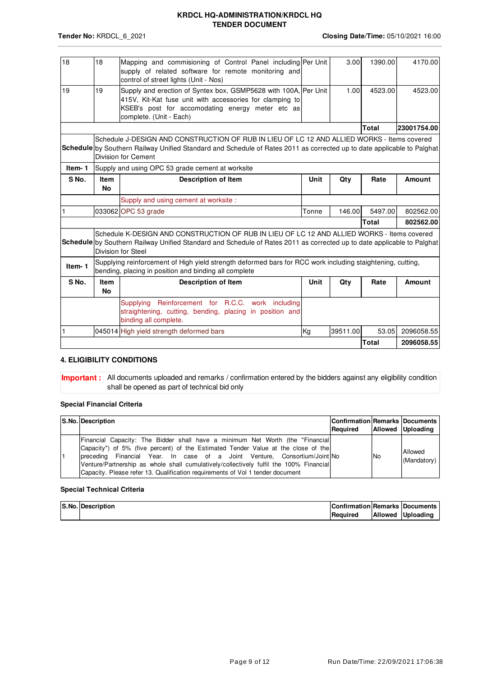| 18     | 18                       | Mapping and commisioning of Control Panel including Per Unit<br>supply of related software for remote monitoring and<br>control of street lights (Unit - Nos)                                                                                |       | 3.00     | 1390.00      | 4170.00       |
|--------|--------------------------|----------------------------------------------------------------------------------------------------------------------------------------------------------------------------------------------------------------------------------------------|-------|----------|--------------|---------------|
| 19     | 19                       | Supply and erection of Syntex box, GSMP5628 with 100A, Per Unit<br>415V, Kit-Kat fuse unit with accessories for clamping to<br>KSEB's post for accomodating energy meter etc as<br>complete. (Unit - Each)                                   |       | 1.00     | 4523.00      | 4523.00       |
|        |                          |                                                                                                                                                                                                                                              |       |          | Total        | 23001754.00   |
|        |                          | Schedule J-DESIGN AND CONSTRUCTION OF RUB IN LIEU OF LC 12 AND ALLIED WORKS - Items covered<br>Schedule by Southern Railway Unified Standard and Schedule of Rates 2011 as corrected up to date applicable to Palghat<br>Division for Cement |       |          |              |               |
| Item-1 |                          | Supply and using OPC 53 grade cement at worksite                                                                                                                                                                                             |       |          |              |               |
| S No.  | <b>Item</b><br><b>No</b> | <b>Description of Item</b>                                                                                                                                                                                                                   | Unit  | Qty      | Rate         | <b>Amount</b> |
|        |                          | Supply and using cement at worksite :                                                                                                                                                                                                        |       |          |              |               |
|        |                          | 033062 OPC 53 grade                                                                                                                                                                                                                          | Tonne | 146.00   | 5497.00      | 802562.00     |
|        |                          |                                                                                                                                                                                                                                              |       |          | Total        | 802562.00     |
|        |                          | Schedule K-DESIGN AND CONSTRUCTION OF RUB IN LIEU OF LC 12 AND ALLIED WORKS - Items covered<br>Schedule by Southern Railway Unified Standard and Schedule of Rates 2011 as corrected up to date applicable to Palghat<br>Division for Steel  |       |          |              |               |
| Item-1 |                          | Supplying reinforcement of High yield strength deformed bars for RCC work including staightening, cutting,<br>bending, placing in position and binding all complete                                                                          |       |          |              |               |
| S No.  | <b>Item</b><br><b>No</b> | <b>Description of Item</b>                                                                                                                                                                                                                   | Unit  | Qty      | Rate         | <b>Amount</b> |
|        |                          | Reinforcement for R.C.C. work including<br>Supplying<br>straightening, cutting, bending, placing in position and<br>binding all complete.                                                                                                    |       |          |              |               |
|        |                          | 045014 High yield strength deformed bars                                                                                                                                                                                                     | Kg    | 39511.00 | 53.05        | 2096058.55    |
|        |                          |                                                                                                                                                                                                                                              |       |          | <b>Total</b> | 2096058.55    |

### **4. ELIGIBILITY CONDITIONS**

**Important :** All documents uploaded and remarks / confirmation entered by the bidders against any eligibility condition shall be opened as part of technical bid only

### **Special Financial Criteria**

|  | S.No. Description                                                                                                                                                                                                                                                                                                                                                                                                             | <b>Confirmation Remarks Documents</b><br>Reauired |           | Allowed Uploading      |
|--|-------------------------------------------------------------------------------------------------------------------------------------------------------------------------------------------------------------------------------------------------------------------------------------------------------------------------------------------------------------------------------------------------------------------------------|---------------------------------------------------|-----------|------------------------|
|  | [Financial Capacity: The Bidder shall have a minimum Net Worth (the "Financial]<br>Capacity") of 5% (five percent) of the Estimated Tender Value at the close of the<br>preceding Financial Year. In case of a Joint Venture, Consortium/Joint No<br>Venture/Partnership as whole shall cumulatively/collectively fulfil the 100% Financial<br>Capacity. Please refer 13. Qualification requirements of Vol 1 tender document |                                                   | <b>No</b> | Allowed<br>(Mandatory) |

#### **Special Technical Criteria**

| S.No. Description | Confirmation Remarks Documents |                   |
|-------------------|--------------------------------|-------------------|
|                   | Required                       | Allowed Uploading |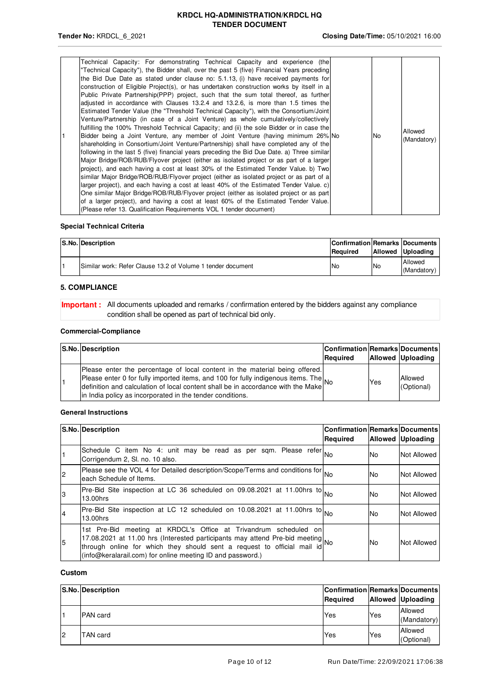|  | Technical Capacity: For demonstrating Technical Capacity and experience (the<br>"Technical Capacity"), the Bidder shall, over the past 5 (five) Financial Years preceding<br>the Bid Due Date as stated under clause no: 5.1.13, (i) have received payments for<br>construction of Eligible Project(s), or has undertaken construction works by itself in a<br>Public Private Partnership(PPP) project, such that the sum total thereof, as further<br>adjusted in accordance with Clauses 13.2.4 and 13.2.6, is more than 1.5 times the<br>Estimated Tender Value (the "Threshold Technical Capacity"), with the Consortium/Joint<br>Venture/Partnership (in case of a Joint Venture) as whole cumulatively/collectively<br>fulfilling the 100% Threshold Technical Capacity; and (ii) the sole Bidder or in case the<br>Bidder being a Joint Venture, any member of Joint Venture (having minimum 26% No<br>shareholding in Consortium/Joint Venture/Partnership) shall have completed any of the<br>following in the last 5 (five) financial years preceding the Bid Due Date. a) Three similar<br>Major Bridge/ROB/RUB/Flyover project (either as isolated project or as part of a larger)<br>project), and each having a cost at least 30% of the Estimated Tender Value. b) Two<br>similar Major Bridge/ROB/RUB/Flyover project (either as isolated project or as part of a<br>larger project), and each having a cost at least 40% of the Estimated Tender Value. c)<br>One similar Major Bridge/ROB/RUB/Flyover project (either as isolated project or as part<br>of a larger project), and having a cost at least 60% of the Estimated Tender Value.<br>(Please refer 13. Qualification Requirements VOL 1 tender document) |  | No. | Allowed<br>(Mandatory) |
|--|--------------------------------------------------------------------------------------------------------------------------------------------------------------------------------------------------------------------------------------------------------------------------------------------------------------------------------------------------------------------------------------------------------------------------------------------------------------------------------------------------------------------------------------------------------------------------------------------------------------------------------------------------------------------------------------------------------------------------------------------------------------------------------------------------------------------------------------------------------------------------------------------------------------------------------------------------------------------------------------------------------------------------------------------------------------------------------------------------------------------------------------------------------------------------------------------------------------------------------------------------------------------------------------------------------------------------------------------------------------------------------------------------------------------------------------------------------------------------------------------------------------------------------------------------------------------------------------------------------------------------------------------------------------------------------------------------------------------------------------|--|-----|------------------------|
|--|--------------------------------------------------------------------------------------------------------------------------------------------------------------------------------------------------------------------------------------------------------------------------------------------------------------------------------------------------------------------------------------------------------------------------------------------------------------------------------------------------------------------------------------------------------------------------------------------------------------------------------------------------------------------------------------------------------------------------------------------------------------------------------------------------------------------------------------------------------------------------------------------------------------------------------------------------------------------------------------------------------------------------------------------------------------------------------------------------------------------------------------------------------------------------------------------------------------------------------------------------------------------------------------------------------------------------------------------------------------------------------------------------------------------------------------------------------------------------------------------------------------------------------------------------------------------------------------------------------------------------------------------------------------------------------------------------------------------------------------|--|-----|------------------------|

### **Special Technical Criteria**

| S.No. Description                                           | Confirmation Remarks Documents<br><b>Required</b> |            | Allowed Uploading      |
|-------------------------------------------------------------|---------------------------------------------------|------------|------------------------|
| Similar work: Refer Clause 13.2 of Volume 1 tender document | <b>No</b>                                         | <b>INo</b> | Allowed<br>(Mandatory) |

# **5. COMPLIANCE**

**Important** : All documents uploaded and remarks / confirmation entered by the bidders against any compliance condition shall be opened as part of technical bid only.

#### **Commercial-Compliance**

|  | S.No. Description                                                                                                                                                                                                                                                                                                | <b>Confirmation Remarks Documents</b><br>Required |     | <b>Allowed Uploading</b> |
|--|------------------------------------------------------------------------------------------------------------------------------------------------------------------------------------------------------------------------------------------------------------------------------------------------------------------|---------------------------------------------------|-----|--------------------------|
|  | Please enter the percentage of local content in the material being offered.<br>Please enter 0 for fully imported items, and 100 for fully indigenous items. The<br>definition and calculation of local content shall be in accordance with the Make<br>in India policy as incorporated in the tender conditions. |                                                   | Yes | Allowed<br>(Optional)    |

#### **General Instructions**

|    | S.No. Description                                                                                                                                                                                                                                                                           | <b>Confirmation Remarks Documents</b><br>Required |     | <b>Allowed Uploading</b> |
|----|---------------------------------------------------------------------------------------------------------------------------------------------------------------------------------------------------------------------------------------------------------------------------------------------|---------------------------------------------------|-----|--------------------------|
|    | Schedule C item No 4: unit may be read as per sqm. Please refer No<br>Corrigendum 2, SI, no. 10 also.                                                                                                                                                                                       |                                                   | No  | Not Allowed              |
|    | Please see the VOL 4 for Detailed description/Scope/Terms and conditions for No<br>each Schedule of Items.                                                                                                                                                                                  |                                                   | No. | Not Allowed              |
| l3 | $\sqrt{\text{Pre-Bid}\sin\theta}$ inspection at LC 36 scheduled on 09.08.2021 at 11.00hrs to $\sqrt{\text{No}}$<br>13.00hrs                                                                                                                                                                 |                                                   | No. | Not Allowed              |
|    | Pre-Bid Site inspection at LC 12 scheduled on 10.08.2021 at 11.00hrs to $_{\text{No}}$<br>13.00hrs                                                                                                                                                                                          |                                                   | No. | Not Allowed              |
| 5  | 1st Pre-Bid meeting at KRDCL's Office at Trivandrum scheduled on<br>17.08.2021 at 11.00 hrs (Interested participants may attend Pre-bid meeting No<br>through online for which they should sent a request to official mail id<br>(info@keralarail.com) for online meeting ID and password.) |                                                   | No. | Not Allowed              |

#### **Custom**

|    | S.No. Description | Confirmation Remarks Documents<br>Required |     | <b>Allowed Uploading</b> |
|----|-------------------|--------------------------------------------|-----|--------------------------|
|    | <b>PAN</b> card   | Yes                                        | Yes | Allowed<br>(Mandatory)   |
| 12 | TAN card          | Yes                                        | Yes | Allowed<br>(Optional)    |